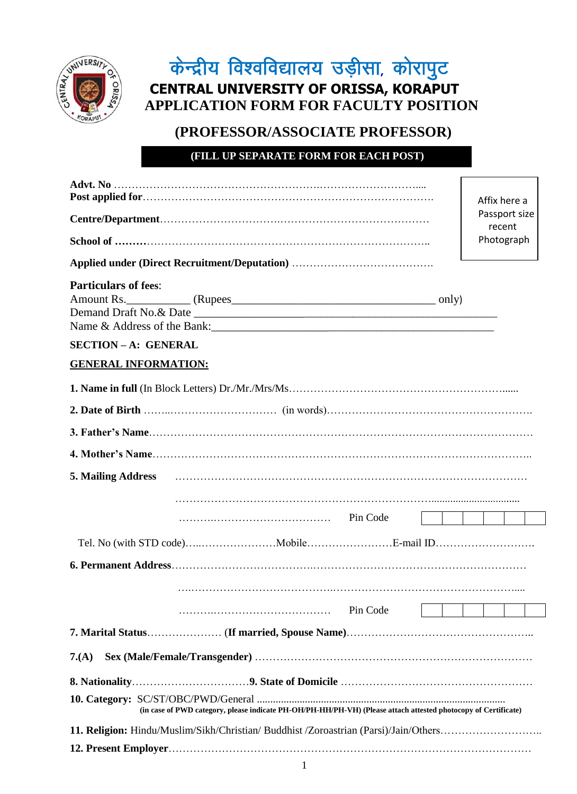

# केन्द्रीय विश्वविद्यालय उड़ीसा, कोरापुट **CENTRAL UNIVERSITY OF ORISSA, KORAPUT APPLICATION FORM FOR FACULTY POSITION**

# **(PROFESSOR/ASSOCIATE PROFESSOR)**

**(FILL UP SEPARATE FORM FOR EACH POST)** 

|                                                                                                                |          | Affix here a            |
|----------------------------------------------------------------------------------------------------------------|----------|-------------------------|
|                                                                                                                |          | Passport size<br>recent |
|                                                                                                                |          | Photograph              |
|                                                                                                                |          |                         |
| <b>Particulars of fees:</b>                                                                                    |          |                         |
|                                                                                                                |          |                         |
| <b>SECTION-A: GENERAL</b>                                                                                      |          |                         |
| <b>GENERAL INFORMATION:</b>                                                                                    |          |                         |
|                                                                                                                |          |                         |
|                                                                                                                |          |                         |
|                                                                                                                |          |                         |
|                                                                                                                |          |                         |
| <b>5. Mailing Address</b>                                                                                      |          |                         |
|                                                                                                                |          |                         |
|                                                                                                                |          |                         |
|                                                                                                                |          |                         |
|                                                                                                                |          |                         |
|                                                                                                                |          |                         |
|                                                                                                                | Pin Code |                         |
|                                                                                                                |          |                         |
| $7.(\mathbf{A})$                                                                                               |          |                         |
|                                                                                                                |          |                         |
| (in case of PWD category, please indicate PH-OH/PH-HH/PH-VH) (Please attach attested photocopy of Certificate) |          |                         |
| 11. Religion: Hindu/Muslim/Sikh/Christian/ Buddhist /Zoroastrian (Parsi)/Jain/Others                           |          |                         |
|                                                                                                                |          |                         |
| 1                                                                                                              |          |                         |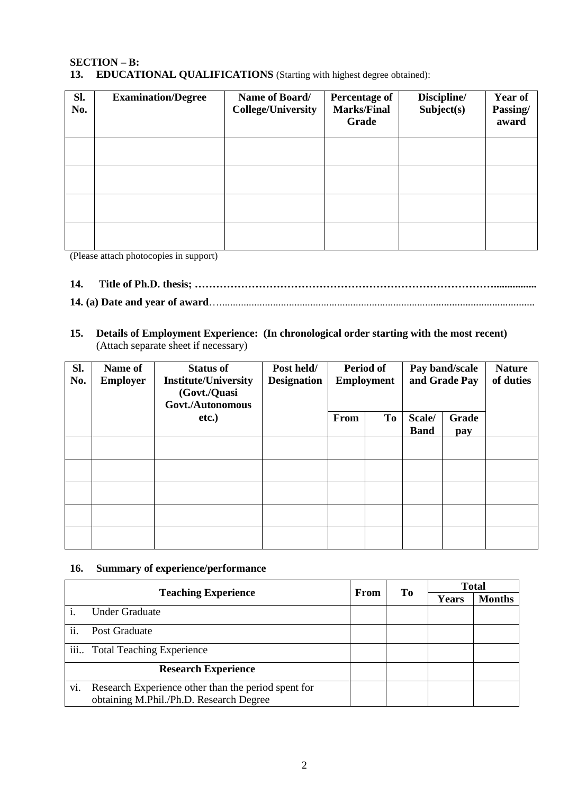# **SECTION – B:**

**13. EDUCATIONAL QUALIFICATIONS** (Starting with highest degree obtained):

| Sl.<br>No. | <b>Examination/Degree</b> | Name of Board/<br><b>College/University</b> | <b>Percentage of</b><br><b>Marks/Final</b><br>Grade | Discipline/<br>Subject(s) | Year of<br>Passing/<br>award |
|------------|---------------------------|---------------------------------------------|-----------------------------------------------------|---------------------------|------------------------------|
|            |                           |                                             |                                                     |                           |                              |
|            |                           |                                             |                                                     |                           |                              |
|            |                           |                                             |                                                     |                           |                              |
|            |                           |                                             |                                                     |                           |                              |

(Please attach photocopies in support)

# **14. Title of Ph.D. thesis; …………………………………………………………………………................**

# **14. (a) Date and year of award**…......................................................................................................................

**15. Details of Employment Experience: (In chronological order starting with the most recent)**  (Attach separate sheet if necessary)

| Sl.<br>No. | Name of<br><b>Employer</b> | <b>Status of</b><br><b>Institute/University</b><br>(Govt./Quasi<br>Govt./Autonomous | Post held/<br><b>Designation</b> | Period of<br><b>Employment</b> |    | Pay band/scale<br>and Grade Pay |              | <b>Nature</b><br>of duties |
|------------|----------------------------|-------------------------------------------------------------------------------------|----------------------------------|--------------------------------|----|---------------------------------|--------------|----------------------------|
|            |                            | etc.)                                                                               |                                  | From                           | To |                                 | Grade<br>pay |                            |
|            |                            |                                                                                     |                                  |                                |    |                                 |              |                            |
|            |                            |                                                                                     |                                  |                                |    |                                 |              |                            |
|            |                            |                                                                                     |                                  |                                |    |                                 |              |                            |
|            |                            |                                                                                     |                                  |                                |    |                                 |              |                            |
|            |                            |                                                                                     |                                  |                                |    |                                 |              |                            |

#### **16. Summary of experience/performance**

|     |                                                                                                | From | To | <b>Total</b> |               |
|-----|------------------------------------------------------------------------------------------------|------|----|--------------|---------------|
|     | <b>Teaching Experience</b>                                                                     |      |    | Years        | <b>Months</b> |
|     | <b>Under Graduate</b>                                                                          |      |    |              |               |
| ii. | Post Graduate                                                                                  |      |    |              |               |
|     | iii Total Teaching Experience                                                                  |      |    |              |               |
|     | <b>Research Experience</b>                                                                     |      |    |              |               |
| vi. | Research Experience other than the period spent for<br>obtaining M.Phil./Ph.D. Research Degree |      |    |              |               |
|     |                                                                                                |      |    |              |               |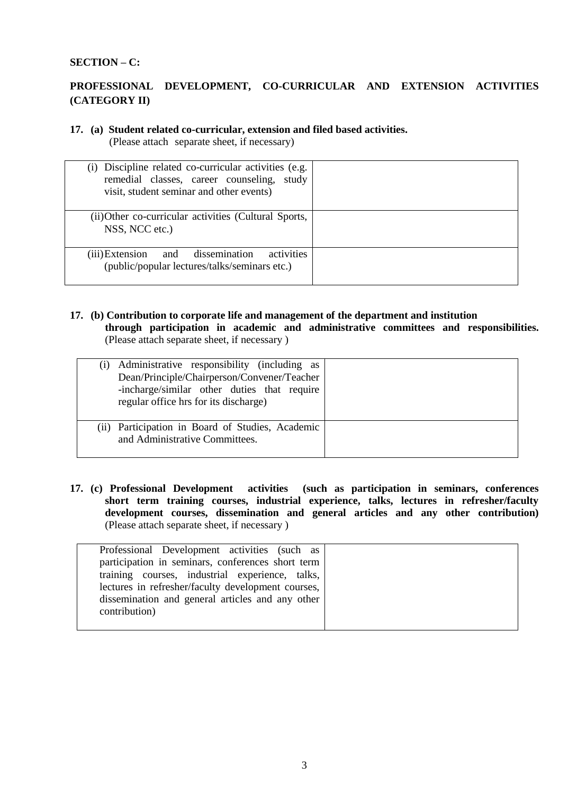#### **SECTION – C:**

# **PROFESSIONAL DEVELOPMENT, CO-CURRICULAR AND EXTENSION ACTIVITIES (CATEGORY II)**

# **17. (a) Student related co-curricular, extension and filed based activities.**

(Please attach separate sheet, if necessary)

| (i) Discipline related co-curricular activities (e.g.<br>remedial classes, career counseling, study<br>visit, student seminar and other events) |  |
|-------------------------------------------------------------------------------------------------------------------------------------------------|--|
| (ii) Other co-curricular activities (Cultural Sports,<br>NSS, NCC etc.)                                                                         |  |
| activities<br>(iii) Extension and dissemination<br>(public/popular lectures/talks/seminars etc.)                                                |  |

#### **17. (b) Contribution to corporate life and management of the department and institution through participation in academic and administrative committees and responsibilities.** (Please attach separate sheet, if necessary )

| Administrative responsibility (including as<br>Dean/Principle/Chairperson/Convener/Teacher<br>-incharge/similar other duties that require<br>regular office hrs for its discharge) |  |
|------------------------------------------------------------------------------------------------------------------------------------------------------------------------------------|--|
| (ii) Participation in Board of Studies, Academic<br>and Administrative Committees.                                                                                                 |  |

**17. (c) Professional Development activities (such as participation in seminars, conferences short term training courses, industrial experience, talks, lectures in refresher/faculty development courses, dissemination and general articles and any other contribution)** (Please attach separate sheet, if necessary )

| Professional Development activities (such as       |  |
|----------------------------------------------------|--|
| participation in seminars, conferences short term  |  |
| training courses, industrial experience, talks,    |  |
| lectures in refresher/faculty development courses, |  |
| dissemination and general articles and any other   |  |
| contribution)                                      |  |
|                                                    |  |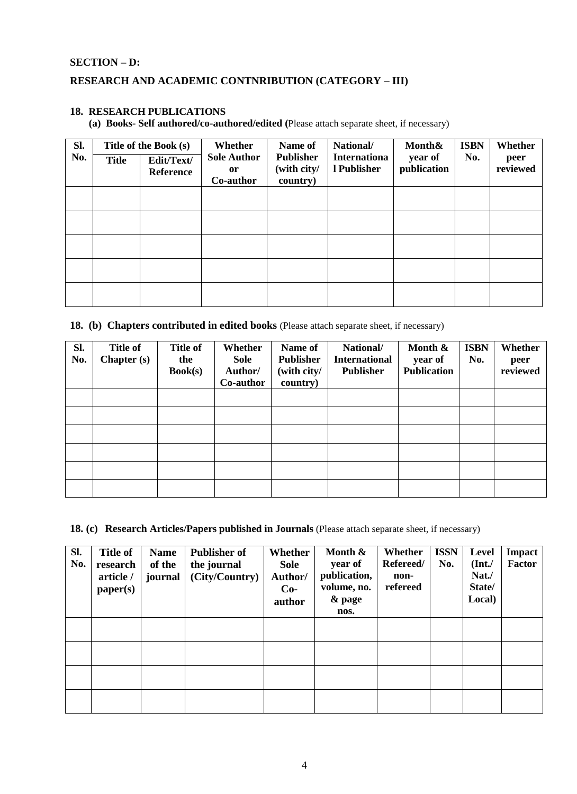#### **SECTION – D:**

# **RESEARCH AND ACADEMIC CONTNRIBUTION (CATEGORY – III)**

# **18. RESEARCH PUBLICATIONS**

**(a) Books- Self authored/co-authored/edited (**Please attach separate sheet, if necessary)

| Sl.<br>No. | <b>Title</b> | Title of the Book (s)<br>Edit/Text/<br><b>Reference</b> | Whether<br><b>Sole Author</b><br><sub>or</sub><br>Co-author | Name of<br><b>Publisher</b><br>(with city/<br>country) | National/<br><b>Internationa</b><br>l Publisher | Month&<br>year of<br>publication | <b>ISBN</b><br>No. | Whether<br>peer<br>reviewed |
|------------|--------------|---------------------------------------------------------|-------------------------------------------------------------|--------------------------------------------------------|-------------------------------------------------|----------------------------------|--------------------|-----------------------------|
|            |              |                                                         |                                                             |                                                        |                                                 |                                  |                    |                             |
|            |              |                                                         |                                                             |                                                        |                                                 |                                  |                    |                             |
|            |              |                                                         |                                                             |                                                        |                                                 |                                  |                    |                             |

#### **18. (b) Chapters contributed in edited books** (Please attach separate sheet, if necessary)

| SI.<br>No. | <b>Title of</b><br><b>Chapter</b> (s) | <b>Title of</b><br>the<br>Book(s) | Whether<br>Sole<br>Author/<br>Co-author | Name of<br><b>Publisher</b><br>(with city/<br>country) | National/<br><b>International</b><br><b>Publisher</b> | Month &<br>year of<br><b>Publication</b> | <b>ISBN</b><br>No. | Whether<br>peer<br>reviewed |
|------------|---------------------------------------|-----------------------------------|-----------------------------------------|--------------------------------------------------------|-------------------------------------------------------|------------------------------------------|--------------------|-----------------------------|
|            |                                       |                                   |                                         |                                                        |                                                       |                                          |                    |                             |
|            |                                       |                                   |                                         |                                                        |                                                       |                                          |                    |                             |
|            |                                       |                                   |                                         |                                                        |                                                       |                                          |                    |                             |
|            |                                       |                                   |                                         |                                                        |                                                       |                                          |                    |                             |
|            |                                       |                                   |                                         |                                                        |                                                       |                                          |                    |                             |
|            |                                       |                                   |                                         |                                                        |                                                       |                                          |                    |                             |

**18. (c) Research Articles/Papers published in Journals** (Please attach separate sheet, if necessary)

| Sl.<br>No. | <b>Title of</b><br>research<br>article /<br>paper(s) | <b>Name</b><br>of the<br>journal | <b>Publisher of</b><br>the journal<br>(City/Country) | Whether<br>Sole<br>Author/<br>$Co-$<br>author | Month &<br>year of<br>publication,<br>volume, no.<br>& page<br>nos. | Whether<br>Refereed/<br>non-<br>refereed | <b>ISSN</b><br>No. | Level<br>(Int. /<br>Nat./<br>State/<br>Local) | Impact<br>Factor |
|------------|------------------------------------------------------|----------------------------------|------------------------------------------------------|-----------------------------------------------|---------------------------------------------------------------------|------------------------------------------|--------------------|-----------------------------------------------|------------------|
|            |                                                      |                                  |                                                      |                                               |                                                                     |                                          |                    |                                               |                  |
|            |                                                      |                                  |                                                      |                                               |                                                                     |                                          |                    |                                               |                  |
|            |                                                      |                                  |                                                      |                                               |                                                                     |                                          |                    |                                               |                  |
|            |                                                      |                                  |                                                      |                                               |                                                                     |                                          |                    |                                               |                  |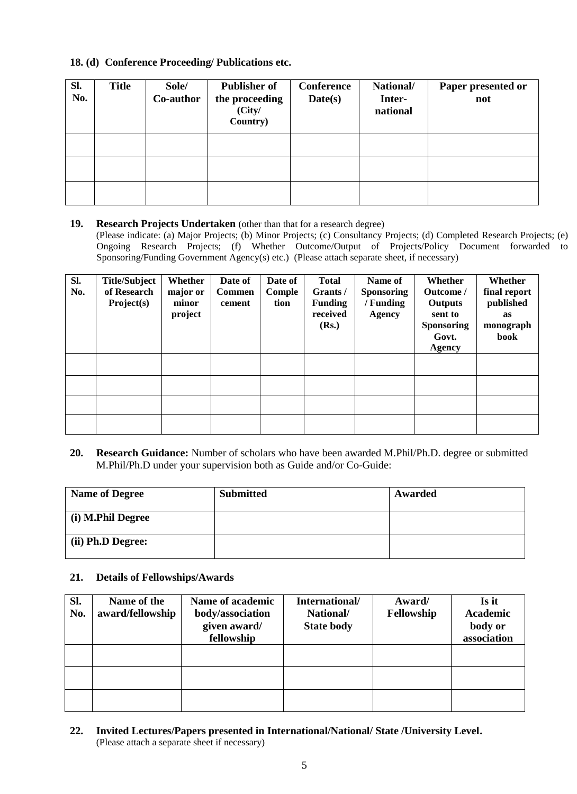#### **18. (d) Conference Proceeding/ Publications etc.**

| SI.<br>No. | <b>Title</b> | Sole/<br>Co-author | <b>Publisher of</b><br>the proceeding<br>(City/<br>Country) | <b>Conference</b><br>Date(s) | National/<br>Inter-<br>national | Paper presented or<br>not |
|------------|--------------|--------------------|-------------------------------------------------------------|------------------------------|---------------------------------|---------------------------|
|            |              |                    |                                                             |                              |                                 |                           |
|            |              |                    |                                                             |                              |                                 |                           |
|            |              |                    |                                                             |                              |                                 |                           |

#### **19. Research Projects Undertaken** (other than that for a research degree)

(Please indicate: (a) Major Projects; (b) Minor Projects; (c) Consultancy Projects; (d) Completed Research Projects; (e) Ongoing Research Projects; (f) Whether Outcome/Output of Projects/Policy Document forwarded to Sponsoring/Funding Government Agency(s) etc.) (Please attach separate sheet, if necessary)

| Sl.<br>No. | <b>Title/Subject</b><br>of Research<br>Project(s) | Whether<br>major or<br>minor<br>project | Date of<br><b>Commen</b><br>cement | Date of<br>Comple<br>tion | <b>Total</b><br>Grants /<br><b>Funding</b><br>received<br>(Rs.) | Name of<br><b>Sponsoring</b><br>/ Funding<br><b>Agency</b> | Whether<br>Outcome /<br><b>Outputs</b><br>sent to<br><b>Sponsoring</b><br>Govt.<br><b>Agency</b> | Whether<br>final report<br>published<br>as<br>monograph<br>book |
|------------|---------------------------------------------------|-----------------------------------------|------------------------------------|---------------------------|-----------------------------------------------------------------|------------------------------------------------------------|--------------------------------------------------------------------------------------------------|-----------------------------------------------------------------|
|            |                                                   |                                         |                                    |                           |                                                                 |                                                            |                                                                                                  |                                                                 |
|            |                                                   |                                         |                                    |                           |                                                                 |                                                            |                                                                                                  |                                                                 |
|            |                                                   |                                         |                                    |                           |                                                                 |                                                            |                                                                                                  |                                                                 |
|            |                                                   |                                         |                                    |                           |                                                                 |                                                            |                                                                                                  |                                                                 |

**20. Research Guidance:** Number of scholars who have been awarded M.Phil/Ph.D. degree or submitted M.Phil/Ph.D under your supervision both as Guide and/or Co-Guide:

| <b>Name of Degree</b>     | <b>Submitted</b> | Awarded |
|---------------------------|------------------|---------|
| (i) M.Phil Degree         |                  |         |
| $\vert$ (ii) Ph.D Degree: |                  |         |

#### **21. Details of Fellowships/Awards**

| SI.<br>No. | Name of the<br>award/fellowship | Name of academic<br>body/association<br>given award/<br>fellowship | International/<br>National/<br><b>State body</b> | Award/<br>Fellowship | Is it<br><b>Academic</b><br>body or<br>association |
|------------|---------------------------------|--------------------------------------------------------------------|--------------------------------------------------|----------------------|----------------------------------------------------|
|            |                                 |                                                                    |                                                  |                      |                                                    |
|            |                                 |                                                                    |                                                  |                      |                                                    |
|            |                                 |                                                                    |                                                  |                      |                                                    |

**22. Invited Lectures/Papers presented in International/National/ State /University Level.** (Please attach a separate sheet if necessary)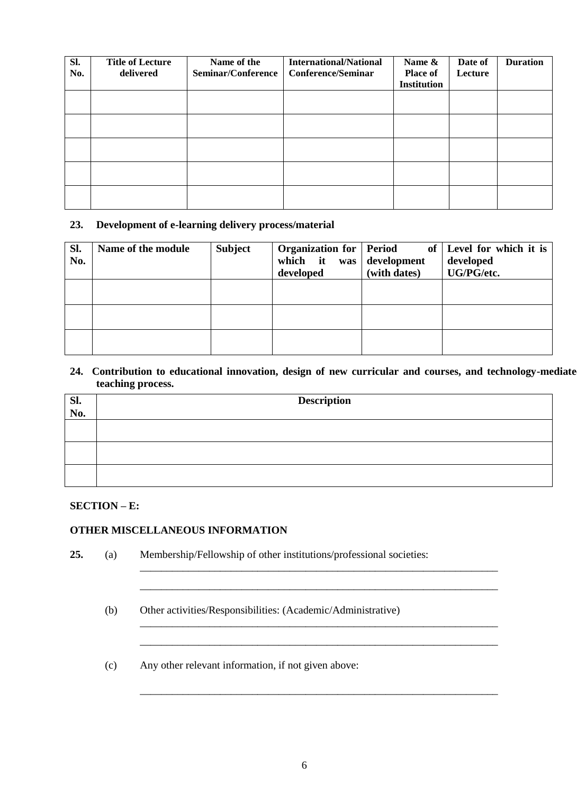| Sl.<br>No. | <b>Title of Lecture</b><br>delivered | Name of the<br>Seminar/Conference | <b>International/National</b><br><b>Conference/Seminar</b> | Name &<br><b>Place of</b><br><b>Institution</b> | Date of<br>Lecture | <b>Duration</b> |
|------------|--------------------------------------|-----------------------------------|------------------------------------------------------------|-------------------------------------------------|--------------------|-----------------|
|            |                                      |                                   |                                                            |                                                 |                    |                 |
|            |                                      |                                   |                                                            |                                                 |                    |                 |
|            |                                      |                                   |                                                            |                                                 |                    |                 |
|            |                                      |                                   |                                                            |                                                 |                    |                 |
|            |                                      |                                   |                                                            |                                                 |                    |                 |

#### **23. Development of e-learning delivery process/material**

| SI.<br>No. | Name of the module | <b>Subject</b> | <b>Organization for   Period</b><br>which it was<br>developed | development<br>(with dates) | of   Level for which it is<br>developed<br>UG/PG/etc. |
|------------|--------------------|----------------|---------------------------------------------------------------|-----------------------------|-------------------------------------------------------|
|            |                    |                |                                                               |                             |                                                       |
|            |                    |                |                                                               |                             |                                                       |
|            |                    |                |                                                               |                             |                                                       |

24. Contribution to educational innovation, design of new curricular and courses, and technology-mediate **teaching process.** 

|            | <b>Description</b> |
|------------|--------------------|
| Sl.<br>No. |                    |
|            |                    |
|            |                    |
|            |                    |
|            |                    |
|            |                    |
|            |                    |

#### **SECTION – E:**

# **OTHER MISCELLANEOUS INFORMATION**

| 25. | (a) | Membership/Fellowship of other institutions/professional societies: |
|-----|-----|---------------------------------------------------------------------|
|     | (b) | Other activities/Responsibilities: (Academic/Administrative)        |
|     | (c) | Any other relevant information, if not given above:                 |

\_\_\_\_\_\_\_\_\_\_\_\_\_\_\_\_\_\_\_\_\_\_\_\_\_\_\_\_\_\_\_\_\_\_\_\_\_\_\_\_\_\_\_\_\_\_\_\_\_\_\_\_\_\_\_\_\_\_\_\_\_\_\_\_\_\_\_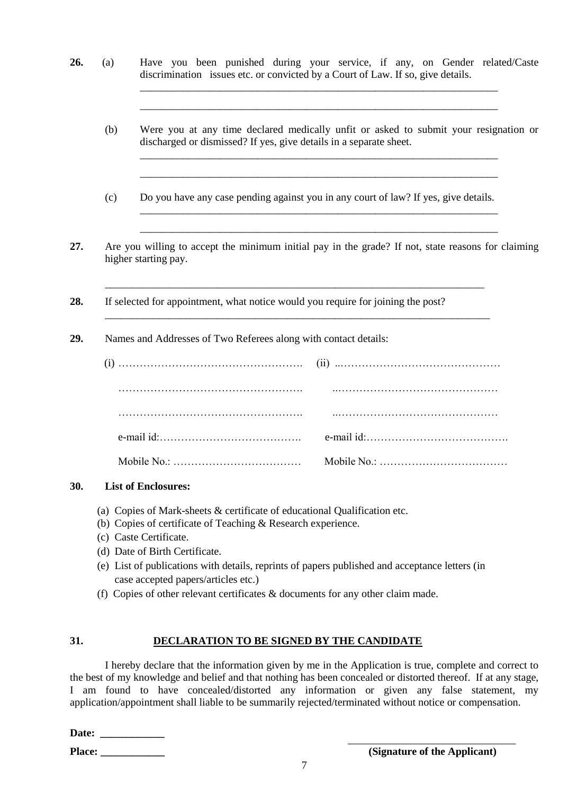- **26.** (a) Have you been punished during your service, if any, on Gender related/Caste discrimination issues etc. or convicted by a Court of Law. If so, give details.
	- (b) Were you at any time declared medically unfit or asked to submit your resignation or discharged or dismissed? If yes, give details in a separate sheet.

\_\_\_\_\_\_\_\_\_\_\_\_\_\_\_\_\_\_\_\_\_\_\_\_\_\_\_\_\_\_\_\_\_\_\_\_\_\_\_\_\_\_\_\_\_\_\_\_\_\_\_\_\_\_\_\_\_\_\_\_\_\_\_\_\_\_\_ \_\_\_\_\_\_\_\_\_\_\_\_\_\_\_\_\_\_\_\_\_\_\_\_\_\_\_\_\_\_\_\_\_\_\_\_\_\_\_\_\_\_\_\_\_\_\_\_\_\_\_\_\_\_\_\_\_\_\_\_\_\_\_\_\_\_\_

\_\_\_\_\_\_\_\_\_\_\_\_\_\_\_\_\_\_\_\_\_\_\_\_\_\_\_\_\_\_\_\_\_\_\_\_\_\_\_\_\_\_\_\_\_\_\_\_\_\_\_\_\_\_\_\_\_\_\_\_\_\_\_\_\_\_\_ \_\_\_\_\_\_\_\_\_\_\_\_\_\_\_\_\_\_\_\_\_\_\_\_\_\_\_\_\_\_\_\_\_\_\_\_\_\_\_\_\_\_\_\_\_\_\_\_\_\_\_\_\_\_\_\_\_\_\_\_\_\_\_\_\_\_\_

\_\_\_\_\_\_\_\_\_\_\_\_\_\_\_\_\_\_\_\_\_\_\_\_\_\_\_\_\_\_\_\_\_\_\_\_\_\_\_\_\_\_\_\_\_\_\_\_\_\_\_\_\_\_\_\_\_\_\_\_\_\_\_\_\_\_\_ \_\_\_\_\_\_\_\_\_\_\_\_\_\_\_\_\_\_\_\_\_\_\_\_\_\_\_\_\_\_\_\_\_\_\_\_\_\_\_\_\_\_\_\_\_\_\_\_\_\_\_\_\_\_\_\_\_\_\_\_\_\_\_\_\_\_\_

- (c) Do you have any case pending against you in any court of law? If yes, give details.
- **27.** Are you willing to accept the minimum initial pay in the grade? If not, state reasons for claiming higher starting pay.

\_\_\_\_\_\_\_\_\_\_\_\_\_\_\_\_\_\_\_\_\_\_\_\_\_\_\_\_\_\_\_\_\_\_\_\_\_\_\_\_\_\_\_\_\_\_\_\_\_\_\_\_\_\_\_\_\_\_\_\_\_\_\_\_\_\_\_\_\_\_\_

\_\_\_\_\_\_\_\_\_\_\_\_\_\_\_\_\_\_\_\_\_\_\_\_\_\_\_\_\_\_\_\_\_\_\_\_\_\_\_\_\_\_\_\_\_\_\_\_\_\_\_\_\_\_\_\_\_\_\_\_\_\_\_\_\_\_\_\_\_\_\_\_

- **28.** If selected for appointment, what notice would you require for joining the post?
- **29.** Names and Addresses of Two Referees along with contact details:

#### **30. List of Enclosures:**

- (a) Copies of Mark-sheets & certificate of educational Qualification etc.
- (b) Copies of certificate of Teaching & Research experience.
- (c) Caste Certificate.
- (d) Date of Birth Certificate.
- (e) List of publications with details, reprints of papers published and acceptance letters (in case accepted papers/articles etc.)
- (f) Copies of other relevant certificates & documents for any other claim made.

#### **31. DECLARATION TO BE SIGNED BY THE CANDIDATE**

I hereby declare that the information given by me in the Application is true, complete and correct to the best of my knowledge and belief and that nothing has been concealed or distorted thereof. If at any stage, I am found to have concealed/distorted any information or given any false statement, my application/appointment shall liable to be summarily rejected/terminated without notice or compensation.

| <b>Date:</b> |  |  |  |
|--------------|--|--|--|
|--------------|--|--|--|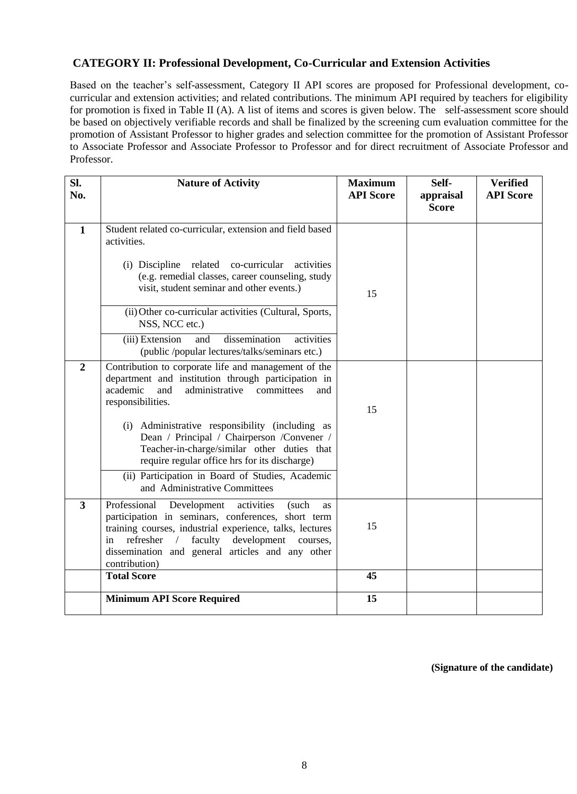# **CATEGORY II: Professional Development, Co-Curricular and Extension Activities**

Based on the teacher's self-assessment, Category II API scores are proposed for Professional development, cocurricular and extension activities; and related contributions. The minimum API required by teachers for eligibility for promotion is fixed in Table II (A). A list of items and scores is given below. The self-assessment score should be based on objectively verifiable records and shall be finalized by the screening cum evaluation committee for the promotion of Assistant Professor to higher grades and selection committee for the promotion of Assistant Professor to Associate Professor and Associate Professor to Professor and for direct recruitment of Associate Professor and Professor.

| SI.<br>No.     | <b>Nature of Activity</b>                                                                                                                                                                                                                                                                                              | <b>Maximum</b><br><b>API Score</b> | Self-<br>appraisal<br><b>Score</b> | <b>Verified</b><br><b>API Score</b> |
|----------------|------------------------------------------------------------------------------------------------------------------------------------------------------------------------------------------------------------------------------------------------------------------------------------------------------------------------|------------------------------------|------------------------------------|-------------------------------------|
| $\mathbf{1}$   | Student related co-curricular, extension and field based<br>activities.                                                                                                                                                                                                                                                |                                    |                                    |                                     |
|                | (i) Discipline related co-curricular<br>activities<br>(e.g. remedial classes, career counseling, study<br>visit, student seminar and other events.)                                                                                                                                                                    | 15                                 |                                    |                                     |
|                | (ii) Other co-curricular activities (Cultural, Sports,<br>NSS, NCC etc.)                                                                                                                                                                                                                                               |                                    |                                    |                                     |
|                | dissemination<br>(iii) Extension<br>activities<br>and<br>(public /popular lectures/talks/seminars etc.)                                                                                                                                                                                                                |                                    |                                    |                                     |
| $\overline{2}$ | Contribution to corporate life and management of the<br>department and institution through participation in<br>academic<br>administrative<br>and<br>committees<br>and<br>responsibilities.                                                                                                                             | 15                                 |                                    |                                     |
|                | (i) Administrative responsibility (including as<br>Dean / Principal / Chairperson / Convener /<br>Teacher-in-charge/similar other duties that<br>require regular office hrs for its discharge)                                                                                                                         |                                    |                                    |                                     |
|                | (ii) Participation in Board of Studies, Academic<br>and Administrative Committees                                                                                                                                                                                                                                      |                                    |                                    |                                     |
| $\mathbf{3}$   | Professional<br>Development<br>activities<br>(such<br>as<br>participation in seminars, conferences, short term<br>training courses, industrial experience, talks, lectures<br>development<br>refresher<br>faculty<br>$\sqrt{2}$<br>courses,<br>in<br>dissemination and general articles and any other<br>contribution) | 15                                 |                                    |                                     |
|                | <b>Total Score</b>                                                                                                                                                                                                                                                                                                     | 45                                 |                                    |                                     |
|                | <b>Minimum API Score Required</b>                                                                                                                                                                                                                                                                                      | 15                                 |                                    |                                     |

 **(Signature of the candidate)**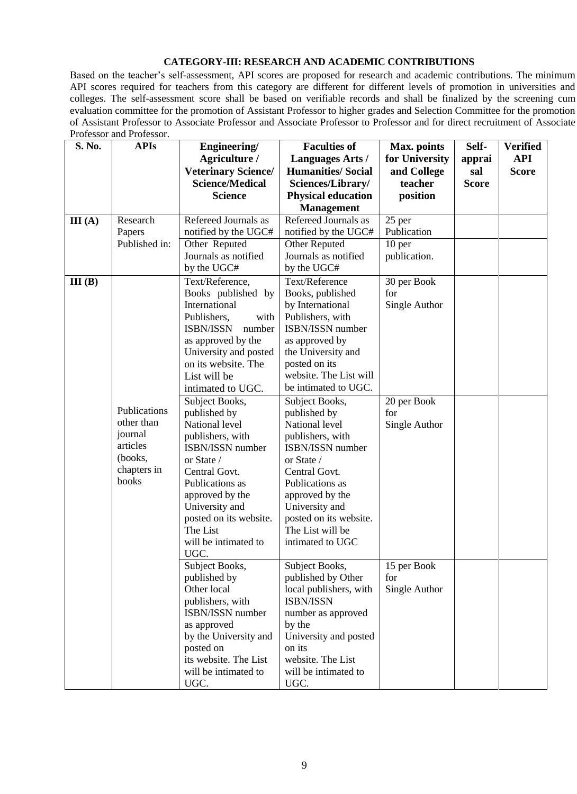#### **CATEGORY-III: RESEARCH AND ACADEMIC CONTRIBUTIONS**

Based on the teacher's self-assessment, API scores are proposed for research and academic contributions. The minimum API scores required for teachers from this category are different for different levels of promotion in universities and colleges. The self-assessment score shall be based on verifiable records and shall be finalized by the screening cum evaluation committee for the promotion of Assistant Professor to higher grades and Selection Committee for the promotion of Assistant Professor to Associate Professor and Associate Professor to Professor and for direct recruitment of Associate Professor and Professor.

| S. No. | <b>APIs</b>   | Engineering/                       | <b>Faculties of</b>                     | Max. points        | Self-        | <b>Verified</b> |
|--------|---------------|------------------------------------|-----------------------------------------|--------------------|--------------|-----------------|
|        |               | Agriculture /                      | <b>Languages Arts /</b>                 | for University     | apprai       | <b>API</b>      |
|        |               | <b>Veterinary Science/</b>         | <b>Humanities/Social</b>                | and College        | sal          | <b>Score</b>    |
|        |               | <b>Science/Medical</b>             | Sciences/Library/                       | teacher            | <b>Score</b> |                 |
|        |               | <b>Science</b>                     | <b>Physical education</b>               | position           |              |                 |
|        |               |                                    | <b>Management</b>                       |                    |              |                 |
| III(A) | Research      | Refereed Journals as               | Refereed Journals as                    | 25 per             |              |                 |
|        | Papers        | notified by the UGC#               | notified by the UGC#                    | Publication        |              |                 |
|        | Published in: | Other Reputed                      | Other Reputed                           | 10 per             |              |                 |
|        |               | Journals as notified               | Journals as notified                    | publication.       |              |                 |
|        |               | by the UGC#                        | by the UGC#                             |                    |              |                 |
| III(B) |               | Text/Reference,                    | Text/Reference                          | 30 per Book        |              |                 |
|        |               | Books published by                 | Books, published                        | for                |              |                 |
|        |               | International                      | by International                        | Single Author      |              |                 |
|        |               | Publishers,<br>with                | Publishers, with                        |                    |              |                 |
|        |               | <b>ISBN/ISSN</b><br>number         | ISBN/ISSN number                        |                    |              |                 |
|        |               | as approved by the                 | as approved by                          |                    |              |                 |
|        |               | University and posted              | the University and                      |                    |              |                 |
|        |               | on its website. The                | posted on its<br>website. The List will |                    |              |                 |
|        |               | List will be                       | be intimated to UGC.                    |                    |              |                 |
|        |               | intimated to UGC.                  |                                         |                    |              |                 |
|        | Publications  | Subject Books,<br>published by     | Subject Books,<br>published by          | 20 per Book<br>for |              |                 |
|        | other than    | National level                     | National level                          | Single Author      |              |                 |
|        | journal       | publishers, with                   | publishers, with                        |                    |              |                 |
|        | articles      | ISBN/ISSN number                   | ISBN/ISSN number                        |                    |              |                 |
|        | (books,       | or State /                         | or State /                              |                    |              |                 |
|        | chapters in   | Central Govt.                      | Central Govt.                           |                    |              |                 |
|        | books         | Publications as                    | Publications as                         |                    |              |                 |
|        |               | approved by the                    | approved by the                         |                    |              |                 |
|        |               | University and                     | University and                          |                    |              |                 |
|        |               | posted on its website.             | posted on its website.                  |                    |              |                 |
|        |               | The List                           | The List will be                        |                    |              |                 |
|        |               | will be intimated to               | intimated to UGC                        |                    |              |                 |
|        |               | UGC.                               |                                         |                    |              |                 |
|        |               | Subject Books,                     | Subject Books,                          | 15 per Book        |              |                 |
|        |               | published by                       | published by Other                      | for                |              |                 |
|        |               | Other local                        | local publishers, with                  | Single Author      |              |                 |
|        |               | publishers, with                   | ISBN/ISSN                               |                    |              |                 |
|        |               | ISBN/ISSN number                   | number as approved                      |                    |              |                 |
|        |               | as approved                        | by the                                  |                    |              |                 |
|        |               | by the University and<br>posted on | University and posted<br>on its         |                    |              |                 |
|        |               | its website. The List              | website. The List                       |                    |              |                 |
|        |               | will be intimated to               | will be intimated to                    |                    |              |                 |
|        |               | UGC.                               | UGC.                                    |                    |              |                 |
|        |               |                                    |                                         |                    |              |                 |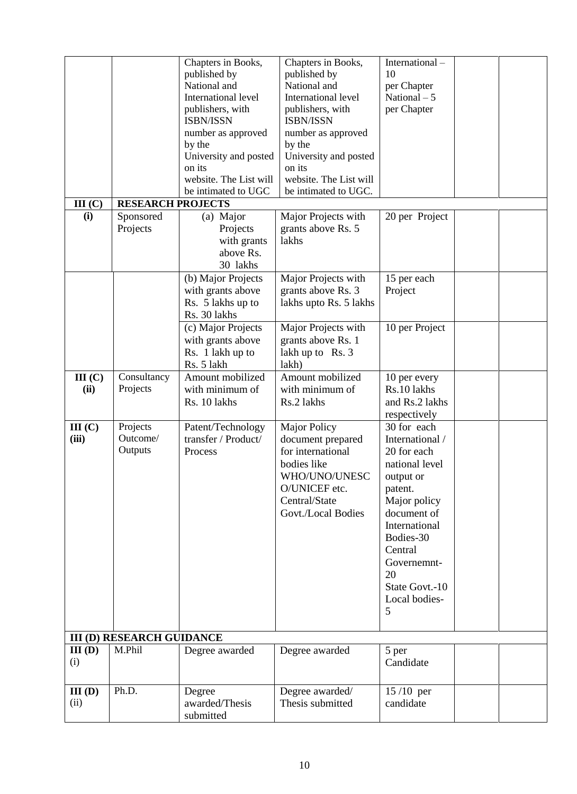|                     |                                  | Chapters in Books,<br>published by<br>National and<br>International level<br>publishers, with<br>ISBN/ISSN<br>number as approved | Chapters in Books,<br>published by<br>National and<br>International level<br>publishers, with<br>ISBN/ISSN<br>number as approved                      | International-<br>10<br>per Chapter<br>National $-5$<br>per Chapter                                                                                                                                                          |  |
|---------------------|----------------------------------|----------------------------------------------------------------------------------------------------------------------------------|-------------------------------------------------------------------------------------------------------------------------------------------------------|------------------------------------------------------------------------------------------------------------------------------------------------------------------------------------------------------------------------------|--|
|                     |                                  | by the<br>University and posted<br>on its<br>website. The List will                                                              | by the<br>University and posted<br>on its<br>website. The List will                                                                                   |                                                                                                                                                                                                                              |  |
|                     |                                  | be intimated to UGC                                                                                                              | be intimated to UGC.                                                                                                                                  |                                                                                                                                                                                                                              |  |
| III(C)              | <b>RESEARCH PROJECTS</b>         |                                                                                                                                  |                                                                                                                                                       |                                                                                                                                                                                                                              |  |
| (i)                 | Sponsored<br>Projects            | (a) Major<br>Projects<br>with grants<br>above Rs.<br>30 lakhs                                                                    | Major Projects with<br>grants above Rs. 5<br>lakhs                                                                                                    | 20 per Project                                                                                                                                                                                                               |  |
|                     |                                  | (b) Major Projects<br>with grants above<br>Rs. 5 lakhs up to<br>Rs. 30 lakhs                                                     | Major Projects with<br>grants above Rs. 3<br>lakhs upto Rs. 5 lakhs                                                                                   | 15 per each<br>Project                                                                                                                                                                                                       |  |
|                     |                                  | (c) Major Projects<br>with grants above<br>Rs. 1 lakh up to<br>Rs. 5 lakh                                                        | Major Projects with<br>grants above Rs. 1<br>lakh up to Rs. 3<br>lakh)                                                                                | 10 per Project                                                                                                                                                                                                               |  |
| III(C)<br>(ii)      | Consultancy<br>Projects          | Amount mobilized<br>with minimum of<br>Rs. 10 lakhs                                                                              | Amount mobilized<br>with minimum of<br>Rs.2 lakhs                                                                                                     | 10 per every<br>Rs.10 lakhs<br>and Rs.2 lakhs<br>respectively                                                                                                                                                                |  |
| III(C)<br>(iii)     | Projects<br>Outcome/<br>Outputs  | Patent/Technology<br>transfer / Product/<br>Process                                                                              | <b>Major Policy</b><br>document prepared<br>for international<br>bodies like<br>WHO/UNO/UNESC<br>O/UNICEF etc.<br>Central/State<br>Govt./Local Bodies | 30 for each<br>International /<br>20 for each<br>national level<br>output or<br>patent.<br>Major policy<br>document of<br>International<br>Bodies-30<br>Central<br>Governemnt-<br>20<br>State Govt.-10<br>Local bodies-<br>5 |  |
|                     | <b>III (D) RESEARCH GUIDANCE</b> |                                                                                                                                  |                                                                                                                                                       |                                                                                                                                                                                                                              |  |
| III(D)<br>(i)       | M.Phil                           | Degree awarded                                                                                                                   | Degree awarded                                                                                                                                        | 5 per<br>Candidate                                                                                                                                                                                                           |  |
| $III$ $(D)$<br>(ii) | Ph.D.                            | Degree<br>awarded/Thesis<br>submitted                                                                                            | Degree awarded/<br>Thesis submitted                                                                                                                   | $15/10$ per<br>candidate                                                                                                                                                                                                     |  |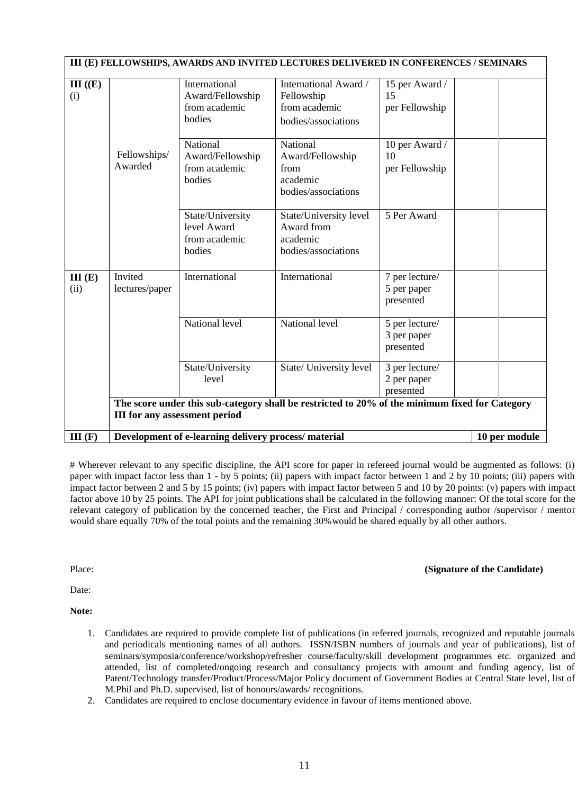|                | III (E) FELLOWSHIPS, AWARDS AND INVITED LECTURES DELIVERED IN CONFERENCES / SEMINARS                                                   |                                                              |                                                                             |                                            |               |  |  |
|----------------|----------------------------------------------------------------------------------------------------------------------------------------|--------------------------------------------------------------|-----------------------------------------------------------------------------|--------------------------------------------|---------------|--|--|
| III (E)<br>(i) |                                                                                                                                        | International<br>Award/Fellowship<br>from academic<br>bodies | International Award /<br>Fellowship<br>from academic<br>bodies/associations | 15 per Award /<br>15<br>per Fellowship     |               |  |  |
|                | Fellowships/<br>Awarded                                                                                                                | National<br>Award/Fellowship<br>from academic<br>bodies      | National<br>Award/Fellowship<br>from<br>academic<br>bodies/associations     | 10 per Award /<br>10<br>per Fellowship     |               |  |  |
|                |                                                                                                                                        | State/University<br>level Award<br>from academic<br>bodies   | State/University level<br>Award from<br>academic<br>bodies/associations     | 5 Per Award                                |               |  |  |
| III(E)<br>(ii) | Invited<br>lectures/paper                                                                                                              | International                                                | International                                                               | 7 per lecture/<br>5 per paper<br>presented |               |  |  |
|                |                                                                                                                                        | National level                                               | National level                                                              | 5 per lecture/<br>3 per paper<br>presented |               |  |  |
|                |                                                                                                                                        | State/University<br>level                                    | State/ University level                                                     | 3 per lecture/<br>2 per paper<br>presented |               |  |  |
|                | The score under this sub-category shall be restricted to 20% of the minimum fixed for Category<br><b>III</b> for any assessment period |                                                              |                                                                             |                                            |               |  |  |
| III(F)         |                                                                                                                                        | Development of e-learning delivery process/material          |                                                                             |                                            | 10 per module |  |  |

# Wherever relevant to any specific discipline, the API score for paper in refereed journal would be augmented as follows: (i) paper with impact factor less than 1 - by 5 points; (ii) papers with impact factor between 1 and 2 by 10 points; (iii) papers with impact factor between 2 and 5 by 15 points; (iv) papers with impact factor between 5 and 10 by 20 points: (v) papers with impact factor above 10 by 25 points. The API for joint publications shall be calculated in the following manner: Of the total score for the relevant category of publication by the concerned teacher, the First and Principal / corresponding author /supervisor / mentor would share equally 70% of the total points and the remaining 30%would be shared equally by all other authors.

Place: **(Signature of the Candidate)**

Date:

**Note:**

- 1. Candidates are required to provide complete list of publications (in referred journals, recognized and reputable journals and periodicals mentioning names of all authors. ISSN/ISBN numbers of journals and year of publications), list of seminars/symposia/conference/workshop/refresher course/faculty/skill development programmes etc. organized and attended, list of completed/ongoing research and consultancy projects with amount and funding agency, list of Patent/Technology transfer/Product/Process/Major Policy document of Government Bodies at Central State level, list of M.Phil and Ph.D. supervised, list of honours/awards/ recognitions.
- 2. Candidates are required to enclose documentary evidence in favour of items mentioned above.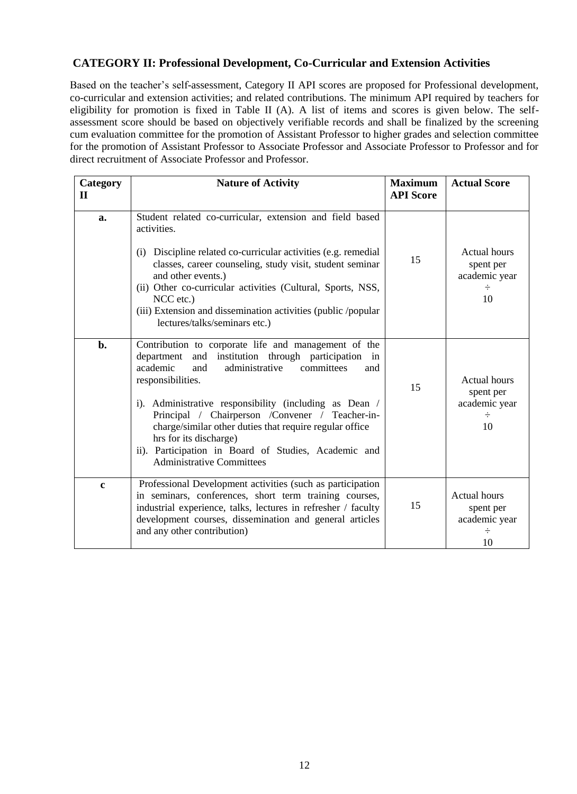# **CATEGORY II: Professional Development, Co-Curricular and Extension Activities**

Based on the teacher's self-assessment, Category II API scores are proposed for Professional development, co-curricular and extension activities; and related contributions. The minimum API required by teachers for eligibility for promotion is fixed in Table II (A). A list of items and scores is given below. The selfassessment score should be based on objectively verifiable records and shall be finalized by the screening cum evaluation committee for the promotion of Assistant Professor to higher grades and selection committee for the promotion of Assistant Professor to Associate Professor and Associate Professor to Professor and for direct recruitment of Associate Professor and Professor.

| Category<br>$\mathbf H$ | <b>Nature of Activity</b>                                                                                                                                                                                                                                                                                                                                                                                                                                                                       | <b>Maximum</b><br><b>API Score</b> | <b>Actual Score</b>                                          |
|-------------------------|-------------------------------------------------------------------------------------------------------------------------------------------------------------------------------------------------------------------------------------------------------------------------------------------------------------------------------------------------------------------------------------------------------------------------------------------------------------------------------------------------|------------------------------------|--------------------------------------------------------------|
| a.                      | Student related co-curricular, extension and field based<br>activities.<br>(i) Discipline related co-curricular activities (e.g. remedial<br>classes, career counseling, study visit, student seminar<br>and other events.)<br>(ii) Other co-curricular activities (Cultural, Sports, NSS,<br>NCC etc.)<br>(iii) Extension and dissemination activities (public /popular<br>lectures/talks/seminars etc.)                                                                                       | 15                                 | <b>Actual hours</b><br>spent per<br>academic year<br>10      |
| b.                      | Contribution to corporate life and management of the<br>and institution through participation<br>department<br>in<br>academic<br>administrative<br>and<br>committees<br>and<br>responsibilities.<br>i). Administrative responsibility (including as Dean /<br>Principal / Chairperson / Convener / Teacher-in-<br>charge/similar other duties that require regular office<br>hrs for its discharge)<br>ii). Participation in Board of Studies, Academic and<br><b>Administrative Committees</b> | 15                                 | <b>Actual hours</b><br>spent per<br>academic year<br>÷<br>10 |
| $\mathbf c$             | Professional Development activities (such as participation<br>in seminars, conferences, short term training courses,<br>industrial experience, talks, lectures in refresher / faculty<br>development courses, dissemination and general articles<br>and any other contribution)                                                                                                                                                                                                                 | 15                                 | Actual hours<br>spent per<br>academic year<br>÷<br>10        |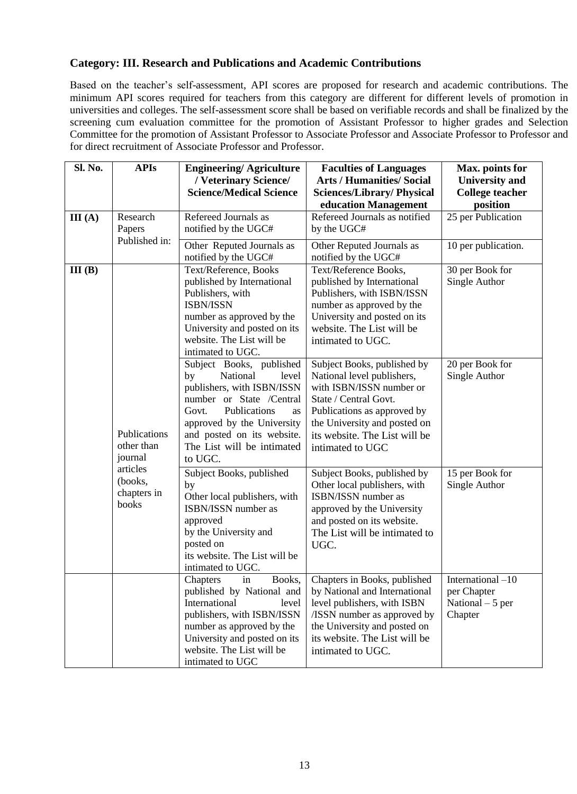# **Category: III. Research and Publications and Academic Contributions**

Based on the teacher's self-assessment, API scores are proposed for research and academic contributions. The minimum API scores required for teachers from this category are different for different levels of promotion in universities and colleges. The self-assessment score shall be based on verifiable records and shall be finalized by the screening cum evaluation committee for the promotion of Assistant Professor to higher grades and Selection Committee for the promotion of Assistant Professor to Associate Professor and Associate Professor to Professor and for direct recruitment of Associate Professor and Professor.

| Sl. No. | <b>APIs</b>                                                                          | <b>Engineering/Agriculture</b><br>/Veterinary Science/<br><b>Science/Medical Science</b>                                                                                                                                                          | <b>Faculties of Languages</b><br><b>Arts / Humanities/ Social</b><br><b>Sciences/Library/Physical</b><br>education Management                                                                                                      | Max. points for<br><b>University</b> and<br><b>College teacher</b><br>position |
|---------|--------------------------------------------------------------------------------------|---------------------------------------------------------------------------------------------------------------------------------------------------------------------------------------------------------------------------------------------------|------------------------------------------------------------------------------------------------------------------------------------------------------------------------------------------------------------------------------------|--------------------------------------------------------------------------------|
| III(A)  | Research<br>Papers<br>Published in:                                                  | Refereed Journals as<br>notified by the UGC#                                                                                                                                                                                                      | Refereed Journals as notified<br>by the UGC#                                                                                                                                                                                       | 25 per Publication                                                             |
|         |                                                                                      | Other Reputed Journals as<br>notified by the UGC#                                                                                                                                                                                                 | Other Reputed Journals as<br>notified by the UGC#                                                                                                                                                                                  | 10 per publication.                                                            |
| III(B)  |                                                                                      | Text/Reference, Books<br>published by International<br>Publishers, with<br>ISBN/ISSN<br>number as approved by the<br>University and posted on its<br>website. The List will be<br>intimated to UGC.                                               | Text/Reference Books,<br>published by International<br>Publishers, with ISBN/ISSN<br>number as approved by the<br>University and posted on its<br>website. The List will be<br>intimated to UGC.                                   | 30 per Book for<br>Single Author                                               |
|         | Publications<br>other than<br>journal<br>articles<br>(books,<br>chapters in<br>books | Subject Books, published<br>National<br>level<br>by<br>publishers, with ISBN/ISSN<br>number or State /Central<br>Publications<br>Govt.<br>as<br>approved by the University<br>and posted on its website.<br>The List will be intimated<br>to UGC. | Subject Books, published by<br>National level publishers,<br>with ISBN/ISSN number or<br>State / Central Govt.<br>Publications as approved by<br>the University and posted on<br>its website. The List will be<br>intimated to UGC | 20 per Book for<br>Single Author                                               |
|         |                                                                                      | Subject Books, published<br>by<br>Other local publishers, with<br>ISBN/ISSN number as<br>approved<br>by the University and<br>posted on<br>its website. The List will be<br>intimated to UGC.                                                     | Subject Books, published by<br>Other local publishers, with<br>ISBN/ISSN number as<br>approved by the University<br>and posted on its website.<br>The List will be intimated to<br>UGC.                                            | 15 per Book for<br>Single Author                                               |
|         |                                                                                      | Chapters<br>Books,<br>1n<br>published by National and<br>International<br>level<br>publishers, with ISBN/ISSN<br>number as approved by the<br>University and posted on its<br>website. The List will be<br>intimated to UGC                       | Chapters in Books, published<br>by National and International<br>level publishers, with ISBN<br>/ISSN number as approved by<br>the University and posted on<br>its website. The List will be<br>intimated to UGC.                  | International -10<br>per Chapter<br>National $-5$ per<br>Chapter               |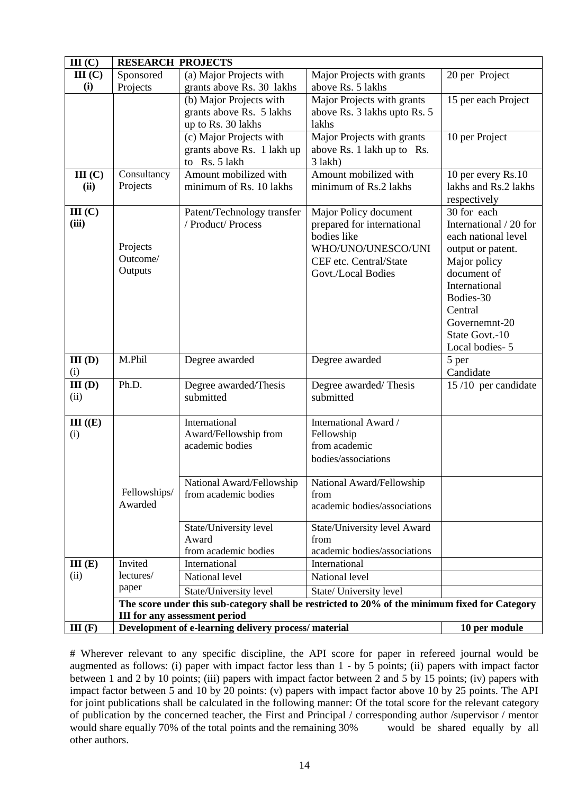| III(C)      | <b>RESEARCH PROJECTS</b>                                                                       |                                                     |                                   |                             |  |
|-------------|------------------------------------------------------------------------------------------------|-----------------------------------------------------|-----------------------------------|-----------------------------|--|
| III(C)      | Sponsored                                                                                      | (a) Major Projects with                             | Major Projects with grants        | 20 per Project              |  |
| (i)         | Projects                                                                                       | grants above Rs. 30 lakhs                           | above Rs. 5 lakhs                 |                             |  |
|             |                                                                                                | (b) Major Projects with                             | Major Projects with grants        | 15 per each Project         |  |
|             |                                                                                                | grants above Rs. 5 lakhs                            | above Rs. 3 lakhs upto Rs. 5      |                             |  |
|             |                                                                                                | up to Rs. 30 lakhs                                  | lakhs                             |                             |  |
|             |                                                                                                | (c) Major Projects with                             | Major Projects with grants        | 10 per Project              |  |
|             |                                                                                                | grants above Rs. 1 lakh up                          | above Rs. 1 lakh up to Rs.        |                             |  |
|             |                                                                                                | to Rs. 5 lakh                                       | 3 lakh)                           |                             |  |
| III(C)      | Consultancy                                                                                    | Amount mobilized with                               | Amount mobilized with             | 10 per every Rs.10          |  |
| (ii)        | Projects                                                                                       | minimum of Rs. 10 lakhs                             | minimum of Rs.2 lakhs             | lakhs and Rs.2 lakhs        |  |
|             |                                                                                                |                                                     |                                   | respectively                |  |
| III(C)      |                                                                                                | Patent/Technology transfer                          | Major Policy document             | 30 for each                 |  |
| (iii)       |                                                                                                | / Product/ Process                                  | prepared for international        | International / 20 for      |  |
|             | Projects                                                                                       |                                                     | bodies like                       | each national level         |  |
|             | Outcome/                                                                                       |                                                     | WHO/UNO/UNESCO/UNI                | output or patent.           |  |
|             | Outputs                                                                                        |                                                     | CEF etc. Central/State            | Major policy<br>document of |  |
|             |                                                                                                |                                                     | Govt./Local Bodies                | International               |  |
|             |                                                                                                |                                                     |                                   | Bodies-30                   |  |
|             |                                                                                                |                                                     |                                   | Central                     |  |
|             |                                                                                                |                                                     |                                   | Governemnt-20               |  |
|             |                                                                                                |                                                     |                                   | State Govt.-10              |  |
|             |                                                                                                |                                                     |                                   | Local bodies-5              |  |
| $III$ $(D)$ | M.Phil                                                                                         | Degree awarded                                      | Degree awarded                    | 5 per                       |  |
| (i)         |                                                                                                |                                                     |                                   | Candidate                   |  |
| $III$ $(D)$ | Ph.D.                                                                                          | Degree awarded/Thesis                               | Degree awarded/Thesis             | 15/10 per candidate         |  |
| (ii)        |                                                                                                | submitted                                           | submitted                         |                             |  |
|             |                                                                                                |                                                     |                                   |                             |  |
| III (E)     |                                                                                                | International                                       | International Award /             |                             |  |
| (i)         |                                                                                                | Award/Fellowship from                               | Fellowship                        |                             |  |
|             |                                                                                                | academic bodies                                     | from academic                     |                             |  |
|             |                                                                                                |                                                     | bodies/associations               |                             |  |
|             |                                                                                                |                                                     |                                   |                             |  |
|             | Fellowships/                                                                                   | National Award/Fellowship                           | National Award/Fellowship<br>from |                             |  |
|             | Awarded                                                                                        | from academic bodies                                | academic bodies/associations      |                             |  |
|             |                                                                                                |                                                     |                                   |                             |  |
|             |                                                                                                | State/University level                              | State/University level Award      |                             |  |
|             |                                                                                                | Award                                               | from                              |                             |  |
|             |                                                                                                | from academic bodies                                | academic bodies/associations      |                             |  |
| III(E)      | Invited                                                                                        | International                                       | International                     |                             |  |
| (ii)        | lectures/                                                                                      | National level                                      | National level                    |                             |  |
|             | paper                                                                                          | State/University level                              | State/ University level           |                             |  |
|             | The score under this sub-category shall be restricted to 20% of the minimum fixed for Category |                                                     |                                   |                             |  |
|             | <b>III for any assessment period</b>                                                           |                                                     |                                   |                             |  |
| III(F)      |                                                                                                | Development of e-learning delivery process/material |                                   | 10 per module               |  |

# Wherever relevant to any specific discipline, the API score for paper in refereed journal would be augmented as follows: (i) paper with impact factor less than 1 - by 5 points; (ii) papers with impact factor between 1 and 2 by 10 points; (iii) papers with impact factor between 2 and 5 by 15 points; (iv) papers with impact factor between 5 and 10 by 20 points: (v) papers with impact factor above 10 by 25 points. The API for joint publications shall be calculated in the following manner: Of the total score for the relevant category of publication by the concerned teacher, the First and Principal / corresponding author /supervisor / mentor would share equally 70% of the total points and the remaining 30% would be shared equally by all would share equally 70% of the total points and the remaining 30% other authors.